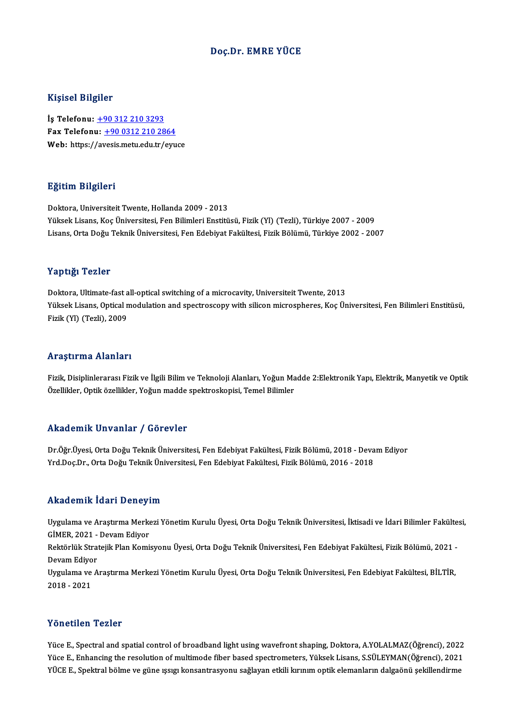# Doç.Dr. EMRE YÜCE

## Kişisel Bilgiler

İş Telefonu: +90 312 210 3293 11191001 D1191101<br>İş Telefonu: <u>+90 312 210 3293</u><br>Fax Telefonu: +90 0312 210 2864<br>Web: https://avesis.metu.edu.tr/evu. İş Telefonu: <u>+90 312 210 3293</u><br>Fax Telefonu: <u>+90 0312 210 2864</u><br>Web: https:/[/av](tel:+90 312 210 3293)[esis.metu.edu.tr/eyu](tel:+90 0312 210 2864)ce Web: https://avesis.metu.edu.tr/eyuce<br>Eğitim Bilgileri

Doktora, Universiteit Twente, Hollanda 2009 - 2013 YüksekLisans,KoçÜniversitesi,FenBilimleriEnstitüsü,Fizik(Yl) (Tezli),Türkiye 2007 -2009 Lisans,OrtaDoğuTeknikÜniversitesi,FenEdebiyatFakültesi,FizikBölümü,Türkiye 2002 -2007

## Yaptığı Tezler

Doktora, Ultimate-fast all-optical switching of a microcavity, Universiteit Twente, 2013 Yüksek Yözsek<br>Doktora, Ultimate-fast all-optical switching of a microcavity, Universiteit Twente, 2013<br>Yüksek Lisans, Optical modulation and spectroscopy with silicon microspheres, Koç Üniversitesi, Fen Bilimleri Enstitüsü Doktora, Ultimate-fast a<br>Yüksek Lisans, Optical n<br>Fizik (Yl) (Tezli), 2009 Fizik (Yl) (Tezli), 2009<br>Araştırma Alanları

Araştırma Alanları<br>Fizik, Disiplinlerarası Fizik ve İlgili Bilim ve Teknoloji Alanları, Yoğun Madde 2:Elektronik Yapı, Elektrik, Manyetik ve Optik<br>Özellikler, Ontik özellikler, Yoğun madde anektroskenisi, Temel Bilimler. İslayan ina sılanıları<br>Fizik, Disiplinlerarası Fizik ve İlgili Bilim ve Teknoloji Alanları, Yoğun Ma<br>Özellikler, Optik özellikler, Yoğun madde spektroskopisi, Temel Bilimler Özellikler, Optik özellikler, Yoğun madde spektroskopisi, Temel Bilimler<br>Akademik Unvanlar / Görevler

Dr.Öğr.Üyesi, Orta Doğu Teknik Üniversitesi, Fen Edebiyat Fakültesi, Fizik Bölümü, 2018 - Devam Ediyor Yrd.Doç.Dr., Orta Doğu Teknik Üniversitesi, Fen Edebiyat Fakültesi, Fizik Bölümü, 2016 - 2018

## Akademik İdari Deneyim

Akademik İdari Deneyim<br>Uygulama ve Araştırma Merkezi Yönetim Kurulu Üyesi, Orta Doğu Teknik Üniversitesi, İktisadi ve İdari Bilimler Fakültesi,<br>ÇİMER 2021, "Davam Ediyer Gimerata Ponty<br>Uygulama ve Araştırma Merke<br>GİMER, 2021 - Devam Ediyor<br>Boltörlük Stratejik Plan Komi Uygulama ve Araştırma Merkezi Yönetim Kurulu Üyesi, Orta Doğu Teknik Üniversitesi, İktisadi ve İdari Bilimler Fakülte<br>GİMER, 2021 - Devam Ediyor<br>Rektörlük Stratejik Plan Komisyonu Üyesi, Orta Doğu Teknik Üniversitesi, Fen

GİMER, 2021 -<br>Rektörlük Stra<br>Devam Ediyor<br>Uygulama ve A Rektörlük Stratejik Plan Komisyonu Üyesi, Orta Doğu Teknik Üniversitesi, Fen Edebiyat Fakültesi, Fizik Bölümü, 2021<br>Devam Ediyor<br>Uygulama ve Araştırma Merkezi Yönetim Kurulu Üyesi, Orta Doğu Teknik Üniversitesi, Fen Edebiy

Devam Ediyor<br>Uygulama ve Araştırma Merkezi Yönetim Kurulu Üyesi, Orta Doğu Teknik Üniversitesi, Fen Edebiyat Fakültesi, BİLTİR,<br>2018 - 2021

## Yönetilen Tezler

Y<mark>önetilen Tezler</mark><br>Yüce E., Spectral and spatial control of broadband light using wavefront shaping, Doktora, A.YOLALMAZ(Öğrenci), 2022<br><sup>Vüce E., Enhanging the resolution of multimode fiber beeed spectromators, Vülgel: Lis</sup> Yüce E., Spectral and spatial control of broadband light using wavefront shaping, Doktora, A.YOLALMAZ(Öğrenci), 2022<br>Yüce E., Enhancing the resolution of multimode fiber based spectrometers, Yüksek Lisans, S.SÜLEYMAN(Öğren Yüce E., Spectral and spatial control of broadband light using wavefront shaping, Doktora, A.YOLALMAZ(Öğrenci), 2022<br>Yüce E., Enhancing the resolution of multimode fiber based spectrometers, Yüksek Lisans, S.SÜLEYMAN(Öğren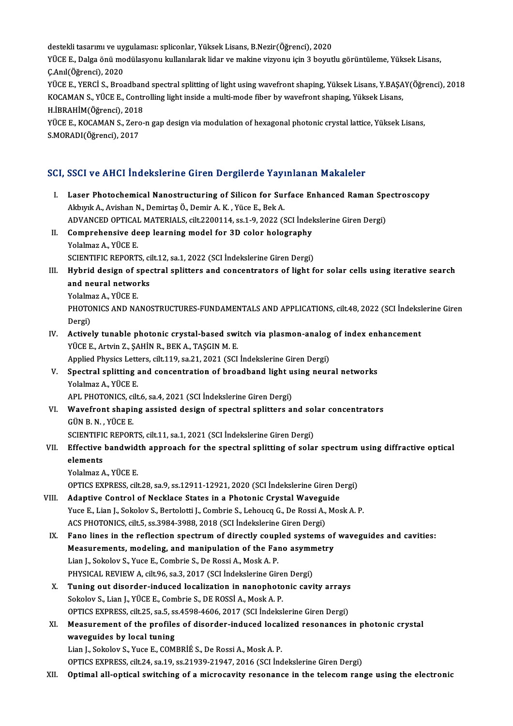destekli tasarımı ve uygulaması: spliconlar, Yüksek Lisans, B.Nezir(Öğrenci), 2020<br>VÜCE E. Delge önü modülasyonu kullanılarak lider ve makine yizyonu isin 3 beyyi YÜCE E., Dalga önü modülasyonu kullanılarak lidar ve makine vizyonu için 3 boyutlu görüntüleme, Yüksek Lisans,<br>C.Anıl(Öğrenci), 2020 destekli tasarımı ve uy<br>YÜCE E., Dalga önü mo<br>Ç.Anıl(Öğrenci), 2020<br>YÜCE E. YEPCİ S. Pres YÜCE E., Dalga önü modülasyonu kullanılarak lidar ve makine vizyonu için 3 boyutlu görüntüleme, Yüksek Lisans,<br>Ç.Anıl(Öğrenci), 2020<br>YÜCE E., YERCİ S., Broadband spectral splitting of light using wavefront shaping, Yüksek Ç.Anıl(Öğrenci), 2020<br>YÜCE E., YERCİ S., Broadband spectral splitting of light using wavefront shaping, Yüksek Lisans, Y.BAŞA<br>KOCAMAN S., YÜCE E., Controlling light inside a multi-mode fiber by wavefront shaping, Yüksek Li YÜCE E., YERCİ S., Broadban<br>KOCAMAN S., YÜCE E., Contr<br>H.İBRAHİM(Öğrenci), 2018<br>YÜCE E. KOCAMAN S. Zara

KOCAMAN S., YÜCE E., Controlling light inside a multi-mode fiber by wavefront shaping, Yüksek Lisans,<br>H.İBRAHİM(Öğrenci), 2018<br>YÜCE E., KOCAMAN S., Zero-n gap design via modulation of hexagonal photonic crystal lattice, Yü H.İBRAHİM(Öğrenci), 2018<br>YÜCE E., KOCAMAN S., Zerc<br>S.MORADI(Öğrenci), 2017

# S.MORADI(Öğrenci), 2017<br>SCI, SSCI ve AHCI İndekslerine Giren Dergilerde Yayınlanan Makaleler

- CI, SSCI ve AHCI İndekslerine Giren Dergilerde Yayınlanan Makaleler<br>I. Laser Photochemical Nanostructuring of Silicon for Surface Enhanced Raman Spectroscopy Laser Photochemical Nanostructuring of Silicon for Surface Photochemical Nanostructuring of Silicon for Surface<br>Akbıyık A., Avishan N., Demirtaş Ö., Demir A. K., Yüce E., Bek A. Laser Photochemical Nanostructuring of Silicon for Surface Enhanced Raman Spokhyk A., Avishan N., Demirtaş Ö., Demir A. K. , Yüce E., Bek A.<br>ADVANCED OPTICAL MATERIALS, cilt.2200114, ss.1-9, 2022 (SCI İndekslerine Giren De Akbıyık A., Avishan N., Demirtaş Ö., Demir A. K. , Yüce E., Bek A.<br>ADVANCED OPTICAL MATERIALS, cilt.2200114, ss.1-9, 2022 (SCI İndel<br>II. Comprehensive deep learning model for 3D color holography<br>Yolalmaz A., YÜCE E. ADVANCED OPTICAL MATERIALS, cilt.2200114, ss.1-9, 2022 (SCI Indekslerine Giren Dergi) Comprehensive deep learning model for 3D color holography<br>Yolalmaz A., YÜCE E.<br>SCIENTIFIC REPORTS, cilt.12, sa.1, 2022 (SCI İndekslerine Giren Dergi)<br>Huhnid design of anestral aplittars and sonsantrators of light f Yolalmaz A., YÜCE E.<br>SCIENTIFIC REPORTS, cilt.12, sa.1, 2022 (SCI indekslerine Giren Dergi)<br>III. Hybrid design of spectral splitters and concentrators of light for solar cells using iterative search<br>and navigal patyonks SCIENTIFIC REPORTS, ci<br>Hybrid design of spee<br>and neural networks<br>Yolalmar A, VÜCE E Hybrid design of s<br>and neural netwol<br>Yolalmaz A., YÜCE E.<br>PHOTONICS AND NA and neural networks<br>Yolalmaz A., YÜCE E.<br>PHOTONICS AND NANOSTRUCTURES-FUNDAMENTALS AND APPLICATIONS, cilt.48, 2022 (SCI İndekslerine Giren<br>Dergi) Yolalm<br>PHOTO<br>Dergi)<br>Active PHOTONICS AND NANOSTRUCTURES-FUNDAMENTALS AND APPLICATIONS, cilt.48, 2022 (SCI Indeksl<br>Dergi)<br>IV. Actively tunable photonic crystal-based switch via plasmon-analog of index enhancement<br>VICE E Artrin 7, SAHIN B, BEK A, TASC Dergi)<br><mark>Actively tunable photonic crystal-based swi</mark><br>YÜCE E., Artvin Z., ŞAHİN R., BEK A., TAŞGIN M. E.<br>Annlied Physiss Letters silt 110, sa 21, 2021.(SCL Actively tunable photonic crystal-based switch via plasmon-analog<br>PÜCE E., Artvin Z., ŞAHİN R., BEK A., TAŞGIN M. E.<br>Applied Physics Letters, cilt.119, sa.21, 2021 (SCI İndekslerine Giren Dergi)<br>Spectral splitting and sens YÜCE E., Artvin Z., ŞAHİN R., BEK A., TAŞGIN M. E.<br>Applied Physics Letters, cilt.119, sa.21, 2021 (SCI İndekslerine Giren Dergi)<br>V. Spectral splitting and concentration of broadband light using neural networks<br>Velalmaz A. Applied Physics Letter<br>Spectral splitting<br>Yolalmaz A., YÜCE E.<br>APL PHOTONICS silt Spectral splitting and concentration of broadband light u<br>Yolalmaz A., YÜCE E.<br>APL PHOTONICS, cilt.6, sa.4, 2021 (SCI İndekslerine Giren Dergi)<br>Wayefront shaning assisted design of spectral splitters at Yolalmaz A., YÜCE E.<br>APL PHOTONICS, cilt.6, sa.4, 2021 (SCI İndekslerine Giren Dergi)<br>VI. Wavefront shaping assisted design of spectral splitters and solar concentrators<br>C<sup>ilN P. N.</sub> VüCE E</sup> APL PHOTONICS, ci<br>Wavefront shapi:<br>GÜN B. N. , YÜCE E.<br>SCIENTIEIC PEPOP Wavefront shaping assisted design of spectral splitters and solutions and solutions of the SCIENTIFIC REPORTS, cilt.11, sa.1, 2021 (SCI İndekslerine Giren Dergi) GÜN B. N. , YÜCE E.<br>SCIENTIFIC REPORTS, cilt.11, sa.1, 2021 (SCI İndekslerine Giren Dergi)<br>VII. Effective bandwidth approach for the spectral splitting of solar spectrum using diffractive optical<br>claments SCIENTIFI<br>Effective<br>elements<br>Volalmar A Effective bandwid<br>elements<br>Yolalmaz A., YÜCE E.<br>OPTICS EVPPESS. Gil elements<br>Yolalmaz A., YÜCE E.<br>OPTICS EXPRESS, cilt.28, sa.9, ss.12911-12921, 2020 (SCI İndekslerine Giren Dergi)<br>Adantiya Cantral of Nasklasa States in a Photonis Crystal Wayogyida Yolalmaz A., YÜCE E.<br>OPTICS EXPRESS, cilt.28, sa.9, ss.12911-12921, 2020 (SCI Indekslerine Giren Dergi)<br>VIII. Adaptive Control of Necklace States in a Photonic Crystal Waveguide<br>Yuce E., Lian J., Sokolov S., Bertolotti J., OPTICS EXPRESS, cilt.28, sa.9, ss.12911-12921, 2020 (SCI Indekslerine Giren Dergi)<br>Adaptive Control of Necklace States in a Photonic Crystal Waveguide<br>Yuce E., Lian J., Sokolov S., Bertolotti J., Combrie S., Lehoucq G., De Adaptive Control of Necklace States in a Photonic Crystal Wavegu<br>Yuce E., Lian J., Sokolov S., Bertolotti J., Combrie S., Lehoucq G., De Rossi A.,<br>ACS PHOTONICS, cilt.5, ss.3984-3988, 2018 (SCI İndekslerine Giren Dergi)<br>Fa IX. Fano lines in the reflection spectrum of directly coupled systems of waveguides and cavities: ACS PHOTONICS, cilt.5, ss.3984-3988, 2018 (SCI İndekslerine Giren Dergi)<br>Fano lines in the reflection spectrum of directly coupled systems of<br>Measurements, modeling, and manipulation of the Fano asymmetry<br>Lian L. Sakalay S Fano lines in the reflection spectrum of directly coup<br>Measurements, modeling, and manipulation of the Far<br>Lian J., Sokolov S., Yuce E., Combrie S., De Rossi A., Mosk A. P.<br>PHYSICAL PEVIEW A. silt 06, sp.2, 2017 (SCL Indek Measurements, modeling, and manipulation of the Fano asymn<br>Lian J., Sokolov S., Yuce E., Combrie S., De Rossi A., Mosk A. P.<br>PHYSICAL REVIEW A, cilt.96, sa.3, 2017 (SCI İndekslerine Giren Dergi)<br>Tuning out disorder indused Lian J., Sokolov S., Yuce E., Combrie S., De Rossi A., Mosk A. P.<br>PHYSICAL REVIEW A, cilt.96, sa.3, 2017 (SCI Indekslerine Giren Dergi)<br>X. Tuning out disorder-induced localization in nanophotonic cavity arrays<br>Sokolov S. J PHYSICAL REVIEW A, cilt.96, sa.3, 2017 (SCI Indekslerine Giren Dergi)<br>Tuning out disorder-induced localization in nanophotonic cavity arrays<br>Sokolov S., Lian J., YÜCE E., Combrie S., DE ROSSI A., Mosk A. P.<br>OPTICS EXPRESS, Tuning out disorder-induced localization in nanophotonic cavity arrays<br>Sokolov S., Lian J., YÜCE E., Combrie S., DE ROSSİ A., Mosk A. P.<br>OPTICS EXPRESS, cilt.25, sa.5, ss.4598-4606, 2017 (SCI İndekslerine Giren Dergi)<br>Meas Sokolov S., Lian J., YÜCE E., Combrie S., DE ROSSİ A., Mosk A. P.<br>OPTICS EXPRESS, cilt.25, sa.5, ss.4598-4606, 2017 (SCI İndekslerine Giren Dergi)<br>XI. Measurement of the profiles of disorder-induced localized resonances in OPTICS EXPRESS, cilt.25, sa.5, ss<br>Measurement of the profile<br>waveguides by local tuning<br>Lian L Sekeley S, Vyce E, COM
	-

waveguides by local tuning<br>Lian J., Sokolov S., Yuce E., COMBRİÉ S., De Rossi A., Mosk A. P.

OPTICSEXPRESS, cilt.24, sa.19, ss.21939-21947,2016 (SCI İndekslerineGirenDergi)

XII. Optimal all-optical switching of a microcavity resonance in the telecom range using the electronic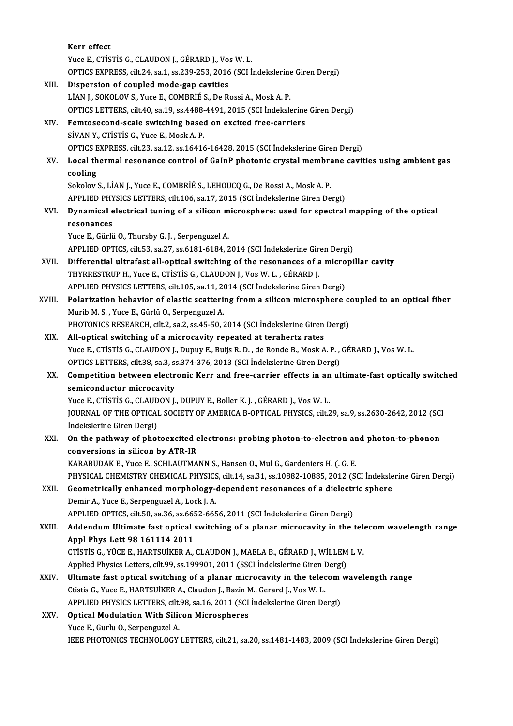|        | Kerr effect                                                                                                          |
|--------|----------------------------------------------------------------------------------------------------------------------|
|        | Yuce E., CTISTIS G., CLAUDON J., GÉRARD J., Vos W. L.                                                                |
|        | OPTICS EXPRESS, cilt.24, sa.1, ss.239-253, 2016 (SCI Indekslerine Giren Dergi)                                       |
| XIII.  | Dispersion of coupled mode-gap cavities                                                                              |
|        | LIAN J., SOKOLOV S., Yuce E., COMBRIÉ S., De Rossi A., Mosk A. P.                                                    |
|        | OPTICS LETTERS, cilt.40, sa.19, ss.4488-4491, 2015 (SCI İndekslerine Giren Dergi)                                    |
| XIV.   | Femtosecond-scale switching based on excited free-carriers                                                           |
|        | SİVAN Y., CTİSTİS G., Yuce E., Mosk A. P.                                                                            |
|        | OPTICS EXPRESS, cilt.23, sa.12, ss.16416-16428, 2015 (SCI Indekslerine Giren Dergi)                                  |
| XV.    | Local thermal resonance control of GaInP photonic crystal membrane cavities using ambient gas                        |
|        | cooling                                                                                                              |
|        | Sokolov S., LIAN J., Yuce E., COMBRIÉ S., LEHOUCQ G., De Rossi A., Mosk A. P.                                        |
|        | APPLIED PHYSICS LETTERS, cilt.106, sa.17, 2015 (SCI İndekslerine Giren Dergi)                                        |
| XVI.   | Dynamical electrical tuning of a silicon microsphere: used for spectral mapping of the optical                       |
|        | resonances                                                                                                           |
|        | Yuce E., Gürlü O., Thursby G. J., Serpenguzel A.                                                                     |
|        | APPLIED OPTICS, cilt.53, sa.27, ss.6181-6184, 2014 (SCI Indekslerine Giren Dergi)                                    |
| XVII.  | Differential ultrafast all-optical switching of the resonances of a micropillar cavity                               |
|        | THYRRESTRUP H., Yuce E., CTISTIS G., CLAUDON J., Vos W. L., GÉRARD J.                                                |
|        | APPLIED PHYSICS LETTERS, cilt.105, sa.11, 2014 (SCI Indekslerine Giren Dergi)                                        |
| XVIII. | Polarization behavior of elastic scattering from a silicon microsphere coupled to an optical fiber                   |
|        | Murib M. S., Yuce E., Gürlü O., Serpenguzel A.                                                                       |
|        | PHOTONICS RESEARCH, cilt.2, sa.2, ss.45-50, 2014 (SCI İndekslerine Giren Dergi)                                      |
| XIX.   | All-optical switching of a microcavity repeated at terahertz rates                                                   |
|        | Yuce E., CTİSTİS G., CLAUDON J., Dupuy E., Buijs R. D., de Ronde B., Mosk A. P., GÉRARD J., Vos W. L.                |
|        | OPTICS LETTERS, cilt.38, sa.3, ss.374-376, 2013 (SCI İndekslerine Giren Dergi)                                       |
| XX.    | Competition between electronic Kerr and free-carrier effects in an ultimate-fast optically switched                  |
|        | semiconductor microcavity                                                                                            |
|        | Yuce E., CTISTIS G., CLAUDON J., DUPUY E., Boller K. J., GÉRARD J., Vos W. L.                                        |
|        | JOURNAL OF THE OPTICAL SOCIETY OF AMERICA B-OPTICAL PHYSICS, cilt.29, sa.9, ss.2630-2642, 2012 (SCI                  |
|        | İndekslerine Giren Dergi)                                                                                            |
| XXI.   | On the pathway of photoexcited electrons: probing photon-to-electron and photon-to-phonon                            |
|        | conversions in silicon by ATR-IR<br>KARABUDAK E., Yuce E., SCHLAUTMANN S., Hansen O., Mul G., Gardeniers H. (. G. E. |
|        | PHYSICAL CHEMISTRY CHEMICAL PHYSICS, cilt.14, sa.31, ss.10882-10885, 2012 (SCI Indekslerine Giren Dergi)             |
| XXII.  | Geometrically enhanced morphology-dependent resonances of a dielectric sphere                                        |
|        | Demir A., Yuce E., Serpenguzel A., Lock J. A.                                                                        |
|        | APPLIED OPTICS, cilt.50, sa.36, ss.6652-6656, 2011 (SCI Indekslerine Giren Dergi)                                    |
| XXIII. | Addendum Ultimate fast optical switching of a planar microcavity in the telecom wavelength range                     |
|        | Appl Phys Lett 98 161114 2011                                                                                        |
|        | CTISTIS G., YÜCE E., HARTSUIKER A., CLAUDON J., MAELA B., GÉRARD J., WILLEM L V.                                     |
|        | Applied Physics Letters, cilt.99, ss.199901, 2011 (SSCI İndekslerine Giren Dergi)                                    |
| XXIV.  | Ultimate fast optical switching of a planar microcavity in the telecom wavelength range                              |
|        | Ctistis G., Yuce E., HARTSUİKER A., Claudon J., Bazin M., Gerard J., Vos W. L.                                       |
|        | APPLIED PHYSICS LETTERS, cilt 98, sa.16, 2011 (SCI İndekslerine Giren Dergi)                                         |
| XXV.   | <b>Optical Modulation With Silicon Microspheres</b>                                                                  |
|        | Yuce E., Gurlu O., Serpenguzel A.                                                                                    |
|        | IEEE PHOTONICS TECHNOLOGY LETTERS, cilt.21, sa.20, ss.1481-1483, 2009 (SCI İndekslerine Giren Dergi)                 |
|        |                                                                                                                      |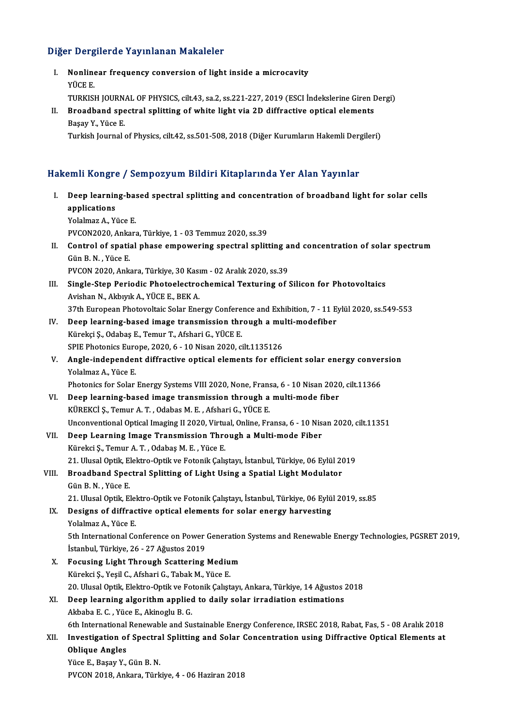# Diğer Dergilerde Yayınlanan Makaleler

Iger Dergilerde Yayınlanan Makaleler<br>I. Nonlinear frequency conversion of light inside a microcavity<br>VÜCE E r<br>Donline<br>YÜCE E.<br>TUPKE! Nonlinear frequency conversion of light inside a microcavity<br>YÜCE E.<br>TURKISH JOURNAL OF PHYSICS, cilt.43, sa.2, ss.221-227, 2019 (ESCI İndekslerine Giren Dergi)<br>Preadband apestral aplitting of ubite light via 2D diffrestiv YÜCE E.<br>TURKISH JOURNAL OF PHYSICS, cilt.43, sa.2, ss.221-227, 2019 (ESCI İndekslerine Giren I<br>II. Broadband spectral splitting of white light via 2D diffractive optical elements<br>Pecay V. Vüce F TURKISH JOURN.<br><mark>Broadband spe</mark><br>Başay Y., Yüce E.<br>Turkish Journal II. Broadband spectral splitting of white light via 2D diffractive optical elements<br>Başay Y., Yüce E.<br>Turkish Journal of Physics, cilt.42, ss.501-508, 2018 (Diğer Kurumların Hakemli Dergileri) Hakemli Kongre / Sempozyum Bildiri Kitaplarında Yer Alan Yayınlar akemli Kongre / Sempozyum Bildiri Kitaplarında Yer Alan Yayınlar<br>I. Deep learning-based spectral splitting and concentration of broadband light for solar cells<br>Applications ann reaga<br>Deep learnin<br>applications<br><sup>Vololmoz A.</sup> Vi Deep learning-ba:<br>applications<br>Yolalmaz A., Yüce E.<br>PVCON2020 Ankar applications<br>Yolalmaz A., Yüce E.<br>PVCON2020, Ankara, Türkiye, 1 - 03 Temmuz 2020, ss.39 Yolalmaz A., Yüce E.<br>PVCON2020, Ankara, Türkiye, 1 - 03 Temmuz 2020, ss.39<br>II. Control of spatial phase empowering spectral splitting and concentration of solar spectrum<br>Cün B.N., Yüce E PVCON2020, Anka<br>Control of spatia<br>Gün B. N. , Yüce E.<br>PVCON 2020, Ank Control of spatial phase empowering spectral splitting a<br>Gün B. N. , Yüce E.<br>PVCON 2020, Ankara, Türkiye, 30 Kasım - 02 Aralık 2020, ss.39<br>Single Stan Bariadia Phataelestrashemisel Texturing ef t Gün B. N. , Yüce E.<br>PVCON 2020, Ankara, Türkiye, 30 Kasım - 02 Aralık 2020, ss.39<br>III. Single-Step Periodic Photoelectrochemical Texturing of Silicon for Photovoltaics Avishan N., Akbıyık A., YÜCE E., BEK A. Single-Step Periodic Photoelectrochemical Texturing of Silicon for Photovoltaics<br>Avishan N., Akbıyık A., YÜCE E., BEK A.<br>37th European Photovoltaic Solar Energy Conference and Exhibition, 7 - 11 Eylül 2020, ss.549-553<br>Deep IV. Deep learning-based image transmission through a multi-modefiber<br>Kürekçi Ş., Odabaş E., Temur T., Afshari G., YÜCE E. 37th European Photovoltaic Solar Energy Confere<br>Deep learning-based image transmission thr<br>Kürekçi Ş., Odabaş E., Temur T., Afshari G., YÜCE E.<br>SPIE Photoniss Europe 2020, 6, 10 Nisar 2020, s Deep learning-based image transmission through a mu<br>Kürekçi Ş., Odabaş E., Temur T., Afshari G., YÜCE E.<br>SPIE Photonics Europe, 2020, 6 - 10 Nisan 2020, cilt.1135126<br>Angle independent diffuestive entisel elemente for effic Kürekçi Ş., Odabaş E., Temur T., Afshari G., YÜCE E.<br>SPIE Photonics Europe, 2020, 6 - 10 Nisan 2020, cilt.1135126<br>V. Angle-independent diffractive optical elements for efficient solar energy conversion<br>Volalmaz A. Vüce E. SPIE Photonics Euro<br><mark>Angle-independer</mark><br>Yolalmaz A., Yüce E.<br>Photonics for Solar Angle-independent diffractive optical elements for efficient solar energy conver<br>Yolalmaz A., Yüce E.<br>Photonics for Solar Energy Systems VIII 2020, None, Fransa, 6 - 10 Nisan 2020, cilt.11366<br>Deep learning based image tran Yolalmaz A., Yüce E.<br>Photonics for Solar Energy Systems VIII 2020, None, Fransa, 6 - 10 Nisan 2020, cilt.11366<br>VI. Deep learning-based image transmission through a multi-mode fiber KÜREKCİ Ş., Temur A.T., Odabas M.E., Afshari G., YÜCE E. Unconventional Optical Imaging II 2020, Virtual, Online, Fransa, 6 - 10 Nisan 2020, cilt.11351 VII. Deep Learning Image Transmission Through a Multi-mode Fiber KürekciŞ.,TemurA.T. ,OdabaşM.E. ,YüceE. 21. Ulusal Optik, Elektro-Optik ve Fotonik Çalıştayı, İstanbul, Türkiye, 06 Eylül 2019 Kürekci Ș., Temur A. T. , Odabaș M. E. , Yüce E.<br>21. Ulusal Optik, Elektro-Optik ve Fotonik Çalıştayı, İstanbul, Türkiye, 06 Eylül 2<br>21. Broadband Spectral Splitting of Light Using a Spatial Light Modulator<br>6. Cün B. N. Vü 21. Ulusal Optik, El<br>Broadband Spec<br>Gün B. N. , Yüce E.<br>21. Ulusal Optik, El Broadband Spectral Splitting of Light Using a Spatial Light Modulator<br>Gün B. N. , Yüce E.<br>21. Ulusal Optik, Elektro-Optik ve Fotonik Çalıştayı, İstanbul, Türkiye, 06 Eylül 2019, ss.85<br>Designa of diffrastive entisal element Gün B. N. , Yüce E.<br>21. Ulusal Optik, Elektro-Optik ve Fotonik Çalıştayı, İstanbul, Türkiye, 06 Eylü<br>IX. Designs of diffractive optical elements for solar energy harvesting<br>Yolalmaz A., Yüce E. 21. Ulusal Optik, Elel<br>Designs of diffrac<br>Yolalmaz A., Yüce E.<br>Eth International Co Designs of diffractive optical elements for solar energy harvesting<br>Yolalmaz A., Yüce E.<br>5th International Conference on Power Generation Systems and Renewable Energy Technologies, PGSRET 2019,<br>Istanbul Türkiye 26, 27 Ağus Yolalmaz A., Yüce E.<br>5th International Conference on Power<br>İstanbul, Türkiye, 26 - 27 Ağustos 2019<br>Fosusing Licht Through Sosttoring 5th International Conference on Power Generation<br>
Istanbul, Türkiye, 26 - 27 Ağustos 2019<br>
X. Focusing Light Through Scattering Medium<br>
Vünelyi S. Vesil G. Afebani G. Tabak M. Vüsa E. İstanbul, Türkiye, 26 - 27 Ağustos 2019<br>Focusing Light Through Scattering Mediu<br>Kürekci Ş., Yeşil C., Afshari G., Tabak M., Yüce E.<br>20 Hlusal Ontik Flektre Ontik ve Estanik Cakst Focusing Light Through Scattering Medium<br>Kürekci Ş., Yeşil C., Afshari G., Tabak M., Yüce E.<br>20. Ulusal Optik, Elektro-Optik ve Fotonik Çalıştayı, Ankara, Türkiye, 14 Ağustos 2018<br>Deen Jearning algorithm annlied to daily s Kürekci Ș., Yeşil C., Afshari G., Tabak M., Yüce E.<br>20. Ulusal Optik, Elektro-Optik ve Fotonik Çalıştayı, Ankara, Türkiye, 14 Ağustos :<br>XI. Deep learning algorithm applied to daily solar irradiation estimations<br>Akbaba E. C 20. Ulusal Optik, Elektro-Optik ve Fo<br>Deep learning algorithm applied<br>Akbaba E. C. , Yüce E., Akinoglu B. G.<br>Eth International Benewable and Su <mark>Deep learning algorithm applied to daily solar irradiation estimations</mark><br>Akbaba E. C. , Yüce E., Akinoglu B. G.<br>6th International Renewable and Sustainable Energy Conference, IRSEC 2018, Rabat, Fas, 5 - 08 Aralık 2018<br>Inve Akbaba E. C. , Yüce E., Akinoglu B. G.<br>6th International Renewable and Sustainable Energy Conference, IRSEC 2018, Rabat, Fas, 5 - 08 Aralık 2018<br>XII. Investigation of Spectral Splitting and Solar Concentration using Diffra **6th International<br>Investigation of<br>Oblique Angles<br>Vüce E. Basay V** XII. Investigation of Spectral Splitting and Solar Concentration using Diffractive Optical Elements at Oblique Angles<br>Oblique Angles<br>Yüce E., Başay Y., Gün B. N. PVCON2018,Ankara,Türkiye,4 -06Haziran2018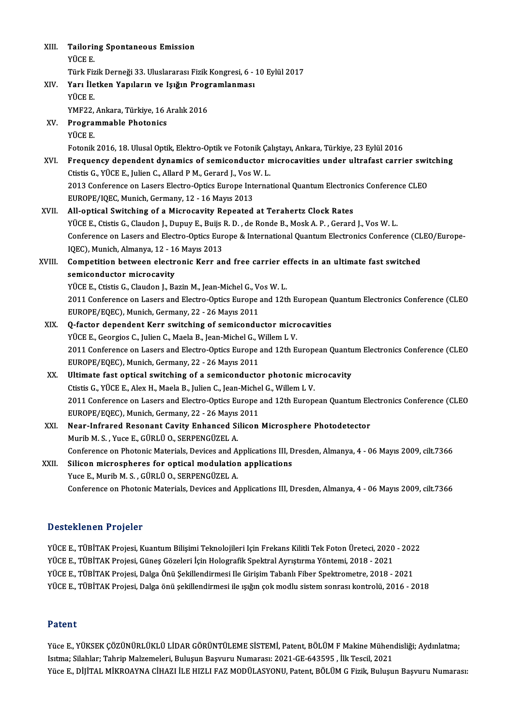| XIII.  | <b>Tailoring Spontaneous Emission</b>                                                                                                                 |
|--------|-------------------------------------------------------------------------------------------------------------------------------------------------------|
|        | YÜCE E.                                                                                                                                               |
|        | Türk Fizik Derneği 33. Uluslararası Fizik Kongresi, 6 - 10 Eylül 2017                                                                                 |
| XIV.   | Yarı İletken Yapıların ve Işığın Programlanması                                                                                                       |
|        | YÜCE E.                                                                                                                                               |
|        | YMF22, Ankara, Türkiye, 16 Aralık 2016                                                                                                                |
| XV.    | <b>Programmable Photonics</b>                                                                                                                         |
|        | <b>YÜCE E</b>                                                                                                                                         |
|        | Fotonik 2016, 18. Ulusal Optik, Elektro-Optik ve Fotonik Çalıştayı, Ankara, Türkiye, 23 Eylül 2016                                                    |
| XVI.   | Frequency dependent dynamics of semiconductor microcavities under ultrafast carrier switching                                                         |
|        | Ctistis G., YÜCE E., Julien C., Allard P M., Gerard J., Vos W. L.                                                                                     |
|        | 2013 Conference on Lasers Electro-Optics Europe International Quantum Electronics Conference CLEO<br>EUROPE/IQEC, Munich, Germany, 12 - 16 Mayıs 2013 |
| XVII.  | All-optical Switching of a Microcavity Repeated at Terahertz Clock Rates                                                                              |
|        | YÜCE E., Ctistis G., Claudon J., Dupuy E., Buijs R. D., de Ronde B., Mosk A. P., Gerard J., Vos W. L.                                                 |
|        | Conference on Lasers and Electro-Optics Europe & International Quantum Electronics Conference (CLEO/Europe-                                           |
|        | IQEC), Munich, Almanya, 12 - 16 Mayıs 2013                                                                                                            |
| XVIII. | Competition between electronic Kerr and free carrier effects in an ultimate fast switched                                                             |
|        | semiconductor microcavity                                                                                                                             |
|        | YÜCE E., Ctistis G., Claudon J., Bazin M., Jean-Michel G., Vos W. L.                                                                                  |
|        | 2011 Conference on Lasers and Electro-Optics Europe and 12th European Quantum Electronics Conference (CLEO                                            |
|        | EUROPE/EQEC), Munich, Germany, 22 - 26 Mayıs 2011                                                                                                     |
| XIX.   | Q-factor dependent Kerr switching of semiconductor microcavities                                                                                      |
|        | YÜCE E., Georgios C., Julien C., Maela B., Jean-Michel G., Willem L V.                                                                                |
|        | 2011 Conference on Lasers and Electro-Optics Europe and 12th European Quantum Electronics Conference (CLEO                                            |
|        | EUROPE/EQEC), Munich, Germany, 22 - 26 Mayıs 2011                                                                                                     |
| XX.    | Ultimate fast optical switching of a semiconductor photonic microcavity                                                                               |
|        | Ctistis G., YÜCE E., Alex H., Maela B., Julien C., Jean-Michel G., Willem L V.                                                                        |
|        | 2011 Conference on Lasers and Electro-Optics Europe and 12th European Quantum Electronics Conference (CLEO                                            |
|        | EUROPE/EQEC), Munich, Germany, 22 - 26 Mayıs 2011                                                                                                     |
| XXI.   | Near-Infrared Resonant Cavity Enhanced Silicon Microsphere Photodetector                                                                              |
|        | Murib M. S., Yuce E., GÜRLÜ O., SERPENGÜZEL A.                                                                                                        |
|        | Conference on Photonic Materials, Devices and Applications III, Dresden, Almanya, 4 - 06 Mayıs 2009, cilt.7366                                        |
| XXII.  | Silicon microspheres for optical modulation applications                                                                                              |
|        | Yuce E., Murib M. S., GÜRLÜ O., SERPENGÜZEL A.                                                                                                        |
|        | Conference on Photonic Materials, Devices and Applications III, Dresden, Almanya, 4 - 06 Mayıs 2009, cilt.7366                                        |
|        |                                                                                                                                                       |

# Desteklenen Projeler

YÜCE E., TÜBİTAK Projesi, Kuantum Bilişimi Teknolojileri Için Frekans Kilitli Tek Foton Üreteci, 2020 - 2022 YÜCE E., TÜBİTAK Projesi, Kuantum Bilişimi Teknolojileri Için Frekans Kilitli Tek Foton Üreteci, 2020<br>YÜCE E., TÜBİTAK Projesi, Güneş Gözeleri İçin Holografik Spektral Ayrıştırma Yöntemi, 2018 - 2021<br>YÜCE E., TÜBİTAK Proje YÜCE E., TÜBİTAK Projesi, Kuantum Bilişimi Teknolojileri Için Frekans Kilitli Tek Foton Üreteci, 2020 - 202<br>YÜCE E., TÜBİTAK Projesi, Güneş Gözeleri İçin Holografik Spektral Ayrıştırma Yöntemi, 2018 - 2021<br>YÜCE E., TÜBİTAK YÜCE E., TÜBİTAK Projesi, Dalga Önü Şekillendirmesi Ile Girişim Tabanlı Fiber Spektrometre, 2018 - 2021<br>YÜCE E., TÜBİTAK Projesi, Dalga önü şekillendirmesi ile ışığın çok modlu sistem sonrası kontrolü, 2016 - 2018

# Patent

Patent<br>Yüce E., YÜKSEK ÇÖZÜNÜRLÜKLÜ LİDAR GÖRÜNTÜLEME SİSTEMİ, Patent, BÖLÜM F Makine Mühendisliği; Aydınlatma;<br>Jatma: Silahlar: Tahrin Makamalari, Bulyaur Basınını Numarası; 2021, CE 642595, İlli Tassil, 2021 I atefire<br>Yüce E., YÜKSEK ÇÖZÜNÜRLÜKLÜ LİDAR GÖRÜNTÜLEME SİSTEMİ, Patent, BÖLÜM F Makine Mühen<br>Isıtma; Silahlar; Tahrip Malzemeleri, Buluşun Başvuru Numarası: 2021-GE-643595 , İlk Tescil, 2021<br>Yüce E. DİJİTAL MİKROAYNA CİH Yüce E., YÜKSEK ÇÖZÜNÜRLÜKLÜ LİDAR GÖRÜNTÜLEME SİSTEMİ, Patent, BÖLÜM F Makine Mühendisliği; Aydınlatma;<br>Isıtma; Silahlar; Tahrip Malzemeleri, Buluşun Başvuru Numarası: 2021-GE-643595 , İlk Tescil, 2021<br>Yüce E., DİJİTAL Mİ